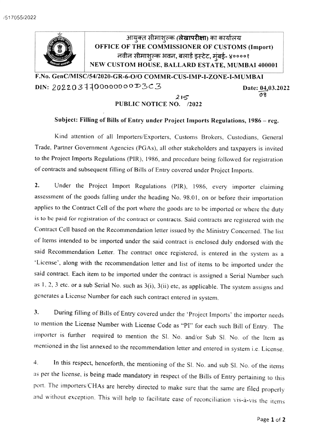

F.No. GenC/MISC/54/2020-GR-6-0/o COMMR-CUS-IMP-1-ZONE-I-MUMBAI DIN: 2022031100000000D3C3 Date: 04.03.2022

## PUBLIC NOTICE NO. /2022

## 08 215

## Subject: Filling of Bills of Entry under Project Imports Regulations, 1986 - reg.

Kind attention of all Importers/Exporters, Customs Brokers, Custodians, General Trade, Partner Government Agencies (PGAs), all other stakeholders and taxpayers is invited to the Project Imports Regulations (PIR). 1986, and procedure being followed for registration of contracts and subsequent filling of Bills of Entry covered under Project Imports.

2. Under the Project Import Regulations (PIR), 1986, every importer claiming assessment of the goods falling under the heading No. 98.01, on or before their importation applies to the Contract Cell of the port where the goods are to be imported or where the duty is to be paid for registration of the contract or contracts. Said contracts are registered with the Contract Cell based on the Recommendation letter issued by the Ministry Concerned. The list of Items intended to be imported under the said contract is enclosed duly endorsed with the said Recommendation Letter. The contract once registered, is entered in the system as a License', along with the recommendation letter and list of items to be imported under the said contract. Each item to be imported under the contract is assigned a Serial Number such as 1,2,3 etc. or a sub Serial No. such as 3(i), 3(ii) etc, as applicable. The system assigns and generates a License Number for each such contract entered in system.

3. During filling of Bills of Entry covered under the 'Project Imports' the importer needs to mention the License Number with License Code as "PI" for each such Bill of Entry. The importer is further required to mention the SI. No. and/or Sub Sl. No. of the ltem as mentioned in the list annexed to the recommendation letter and entered in system i.e. License.

In this respect, henceforth, the mentioning of the SI. No. and sub SI. No. of the items 4. as per the license, is being made mandatory in respect of the Bills of Entry pertaining to this port. The importers/CHAs are hereby directed to make sure that the same are filed properly and without exception. This will help to facilitate ease of reconciliation vis-à-vis the items